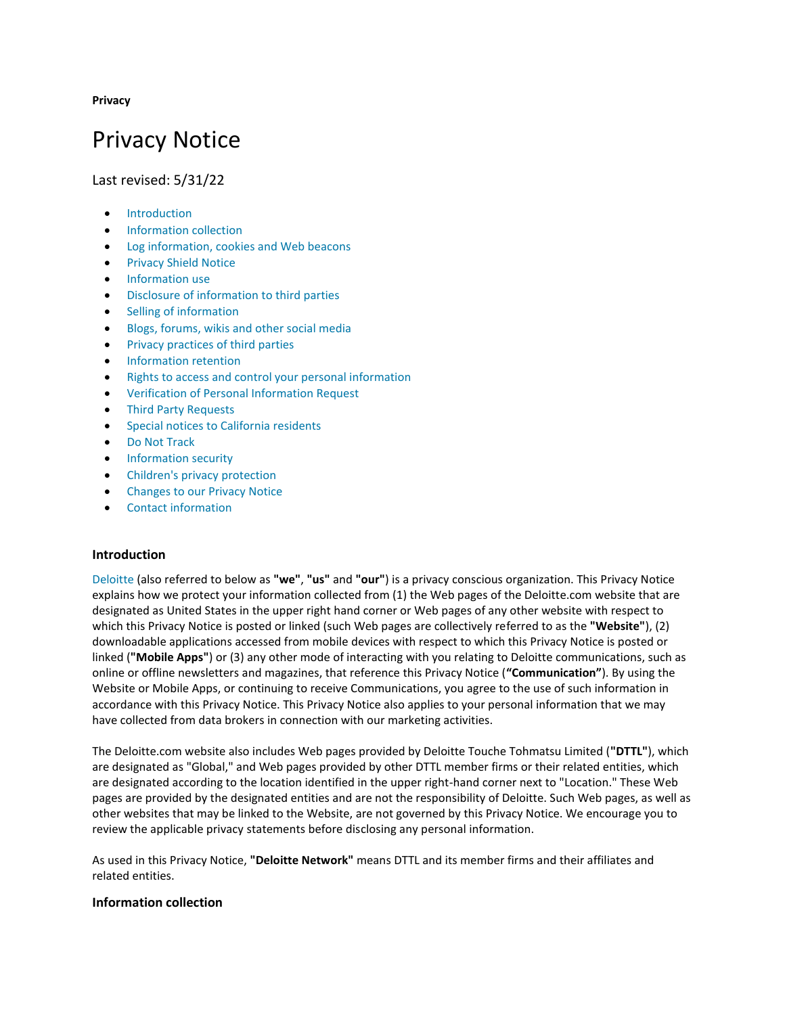**Privacy**

# Privacy Notice

Last revised: 5/31/22

- [Introduction](https://www2.deloitte.com/us/en/legal/privacy.html#0)
- [Information collection](https://www2.deloitte.com/us/en/legal/privacy.html#1)
- [Log information, cookies and Web beacons](https://www2.deloitte.com/us/en/legal/privacy.html#2)
- [Privacy Shield Notice](https://www2.deloitte.com/us/en/legal/privacy.html#3)
- [Information use](https://www2.deloitte.com/us/en/legal/privacy.html#04)
- [Disclosure of information to third parties](https://www2.deloitte.com/us/en/legal/privacy.html#4)
- [Selling of information](https://www2.deloitte.com/us/en/legal/privacy.html#5)
- [Blogs, forums, wikis and other social media](https://www2.deloitte.com/us/en/legal/privacy.html#6)
- [Privacy practices of third parties](https://www2.deloitte.com/us/en/legal/privacy.html#7)
- [Information retention](https://www2.deloitte.com/us/en/legal/privacy.html#8)
- [Rights to access and control your personal information](https://www2.deloitte.com/us/en/legal/privacy.html#9)
- [Verification of Personal Information Request](https://www2.deloitte.com/us/en/legal/privacy.html#PIR)
- [Third Party Requests](https://www2.deloitte.com/us/en/legal/privacy.html#TPR)
- [Special notices to California residents](https://www2.deloitte.com/us/en/legal/privacy.html#10)
- [Do Not Track](https://www2.deloitte.com/us/en/legal/privacy.html#11)
- [Information security](https://www2.deloitte.com/us/en/legal/privacy.html#12)
- [Children's privacy protection](https://www2.deloitte.com/us/en/legal/privacy.html#13)
- [Changes to our Privacy Notice](https://www2.deloitte.com/us/en/legal/privacy.html#14)
- [Contact information](https://www2.deloitte.com/us/en/legal/privacy.html#15)

## **Introduction**

[Deloitte](https://www2.deloitte.com/us/en/pages/about-deloitte/articles/about-deloitte.html) (also referred to below as **"we"**, **"us"** and **"our"**) is a privacy conscious organization. This Privacy Notice explains how we protect your information collected from (1) the Web pages of the Deloitte.com website that are designated as United States in the upper right hand corner or Web pages of any other website with respect to which this Privacy Notice is posted or linked (such Web pages are collectively referred to as the **"Website"**), (2) downloadable applications accessed from mobile devices with respect to which this Privacy Notice is posted or linked (**"Mobile Apps"**) or (3) any other mode of interacting with you relating to Deloitte communications, such as online or offline newsletters and magazines, that reference this Privacy Notice (**"Communication"**). By using the Website or Mobile Apps, or continuing to receive Communications, you agree to the use of such information in accordance with this Privacy Notice. This Privacy Notice also applies to your personal information that we may have collected from data brokers in connection with our marketing activities.

The Deloitte.com website also includes Web pages provided by Deloitte Touche Tohmatsu Limited (**"DTTL"**), which are designated as "Global," and Web pages provided by other DTTL member firms or their related entities, which are designated according to the location identified in the upper right-hand corner next to "Location." These Web pages are provided by the designated entities and are not the responsibility of Deloitte. Such Web pages, as well as other websites that may be linked to the Website, are not governed by this Privacy Notice. We encourage you to review the applicable privacy statements before disclosing any personal information.

As used in this Privacy Notice, **"Deloitte Network"** means DTTL and its member firms and their affiliates and related entities.

## **Information collection**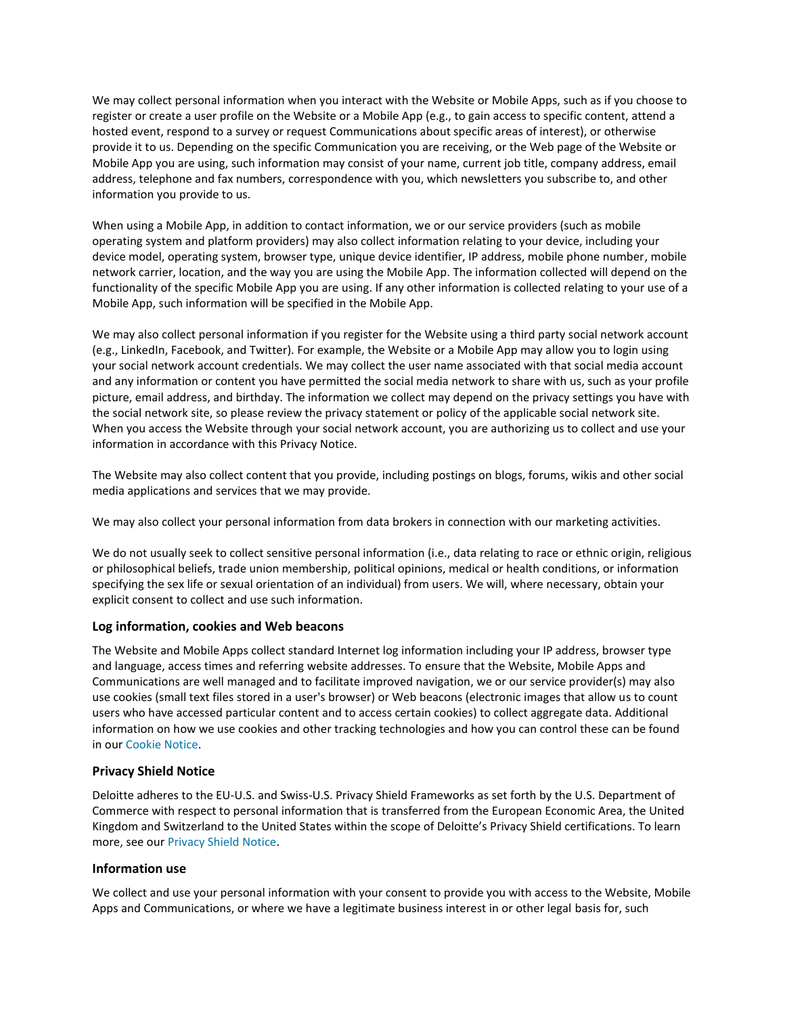We may collect personal information when you interact with the Website or Mobile Apps, such as if you choose to register or create a user profile on the Website or a Mobile App (e.g., to gain access to specific content, attend a hosted event, respond to a survey or request Communications about specific areas of interest), or otherwise provide it to us. Depending on the specific Communication you are receiving, or the Web page of the Website or Mobile App you are using, such information may consist of your name, current job title, company address, email address, telephone and fax numbers, correspondence with you, which newsletters you subscribe to, and other information you provide to us.

When using a Mobile App, in addition to contact information, we or our service providers (such as mobile operating system and platform providers) may also collect information relating to your device, including your device model, operating system, browser type, unique device identifier, IP address, mobile phone number, mobile network carrier, location, and the way you are using the Mobile App. The information collected will depend on the functionality of the specific Mobile App you are using. If any other information is collected relating to your use of a Mobile App, such information will be specified in the Mobile App.

We may also collect personal information if you register for the Website using a third party social network account (e.g., LinkedIn, Facebook, and Twitter). For example, the Website or a Mobile App may allow you to login using your social network account credentials. We may collect the user name associated with that social media account and any information or content you have permitted the social media network to share with us, such as your profile picture, email address, and birthday. The information we collect may depend on the privacy settings you have with the social network site, so please review the privacy statement or policy of the applicable social network site. When you access the Website through your social network account, you are authorizing us to collect and use your information in accordance with this Privacy Notice.

The Website may also collect content that you provide, including postings on blogs, forums, wikis and other social media applications and services that we may provide.

We may also collect your personal information from data brokers in connection with our marketing activities.

We do not usually seek to collect sensitive personal information (i.e., data relating to race or ethnic origin, religious or philosophical beliefs, trade union membership, political opinions, medical or health conditions, or information specifying the sex life or sexual orientation of an individual) from users. We will, where necessary, obtain your explicit consent to collect and use such information.

## **Log information, cookies and Web beacons**

The Website and Mobile Apps collect standard Internet log information including your IP address, browser type and language, access times and referring website addresses. To ensure that the Website, Mobile Apps and Communications are well managed and to facilitate improved navigation, we or our service provider(s) may also use cookies (small text files stored in a user's browser) or Web beacons (electronic images that allow us to count users who have accessed particular content and to access certain cookies) to collect aggregate data. Additional information on how we use cookies and other tracking technologies and how you can control these can be found in our [Cookie Notice.](https://www2.deloitte.com/us/en/legal/cookies.html)

## **Privacy Shield Notice**

Deloitte adheres to the EU-U.S. and Swiss-U.S. Privacy Shield Frameworks as set forth by the U.S. Department of Commerce with respect to personal information that is transferred from the European Economic Area, the United Kingdom and Switzerland to the United States within the scope of Deloitte's Privacy Shield certifications. To learn more, see our [Privacy Shield Notice.](https://www2.deloitte.com/us/en/legal/privacy-shield.html)

## **Information use**

We collect and use your personal information with your consent to provide you with access to the Website, Mobile Apps and Communications, or where we have a legitimate business interest in or other legal basis for, such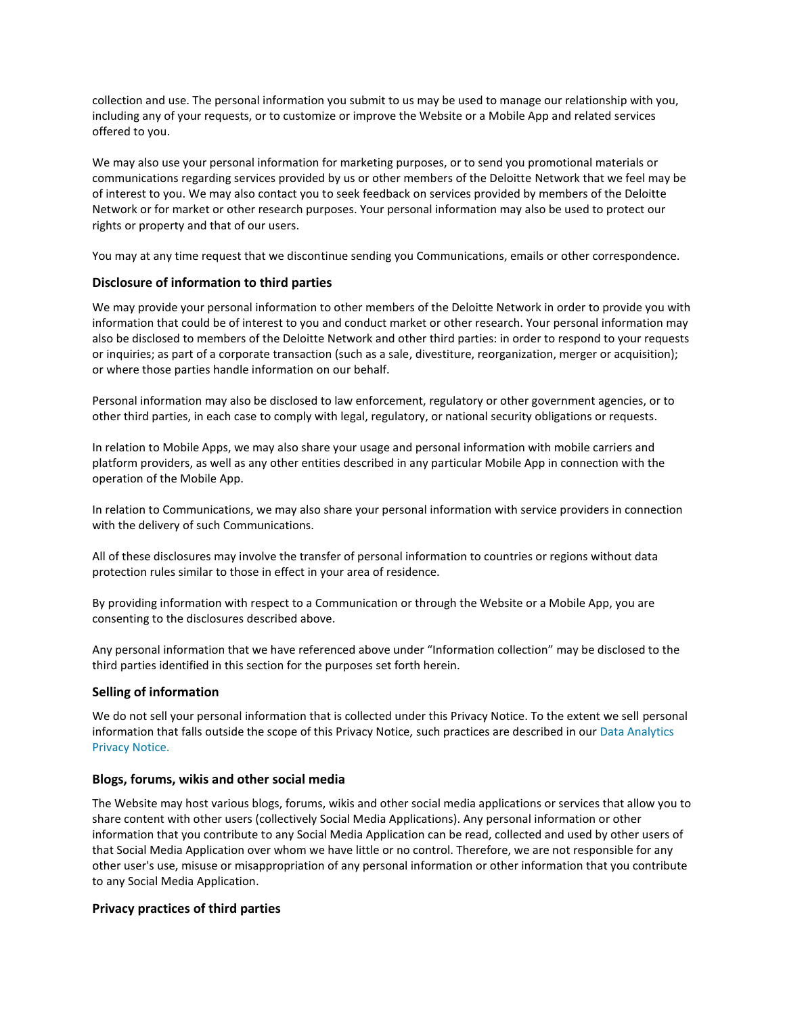collection and use. The personal information you submit to us may be used to manage our relationship with you, including any of your requests, or to customize or improve the Website or a Mobile App and related services offered to you.

We may also use your personal information for marketing purposes, or to send you promotional materials or communications regarding services provided by us or other members of the Deloitte Network that we feel may be of interest to you. We may also contact you to seek feedback on services provided by members of the Deloitte Network or for market or other research purposes. Your personal information may also be used to protect our rights or property and that of our users.

You may at any time request that we discontinue sending you Communications, emails or other correspondence.

## **Disclosure of information to third parties**

We may provide your personal information to other members of the Deloitte Network in order to provide you with information that could be of interest to you and conduct market or other research. Your personal information may also be disclosed to members of the Deloitte Network and other third parties: in order to respond to your requests or inquiries; as part of a corporate transaction (such as a sale, divestiture, reorganization, merger or acquisition); or where those parties handle information on our behalf.

Personal information may also be disclosed to law enforcement, regulatory or other government agencies, or to other third parties, in each case to comply with legal, regulatory, or national security obligations or requests.

In relation to Mobile Apps, we may also share your usage and personal information with mobile carriers and platform providers, as well as any other entities described in any particular Mobile App in connection with the operation of the Mobile App.

In relation to Communications, we may also share your personal information with service providers in connection with the delivery of such Communications.

All of these disclosures may involve the transfer of personal information to countries or regions without data protection rules similar to those in effect in your area of residence.

By providing information with respect to a Communication or through the Website or a Mobile App, you are consenting to the disclosures described above.

Any personal information that we have referenced above under "Information collection" may be disclosed to the third parties identified in this section for the purposes set forth herein.

## **Selling of information**

We do not sell your personal information that is collected under this Privacy Notice. To the extent we sell personal information that falls outside the scope of this Privacy Notice, such practices are described in our [Data Analytics](https://www2.deloitte.com/us/en/legal/predictrisk-privacy-notice.html)  [Privacy Notice.](https://www2.deloitte.com/us/en/legal/predictrisk-privacy-notice.html)

## **Blogs, forums, wikis and other social media**

The Website may host various blogs, forums, wikis and other social media applications or services that allow you to share content with other users (collectively Social Media Applications). Any personal information or other information that you contribute to any Social Media Application can be read, collected and used by other users of that Social Media Application over whom we have little or no control. Therefore, we are not responsible for any other user's use, misuse or misappropriation of any personal information or other information that you contribute to any Social Media Application.

## **Privacy practices of third parties**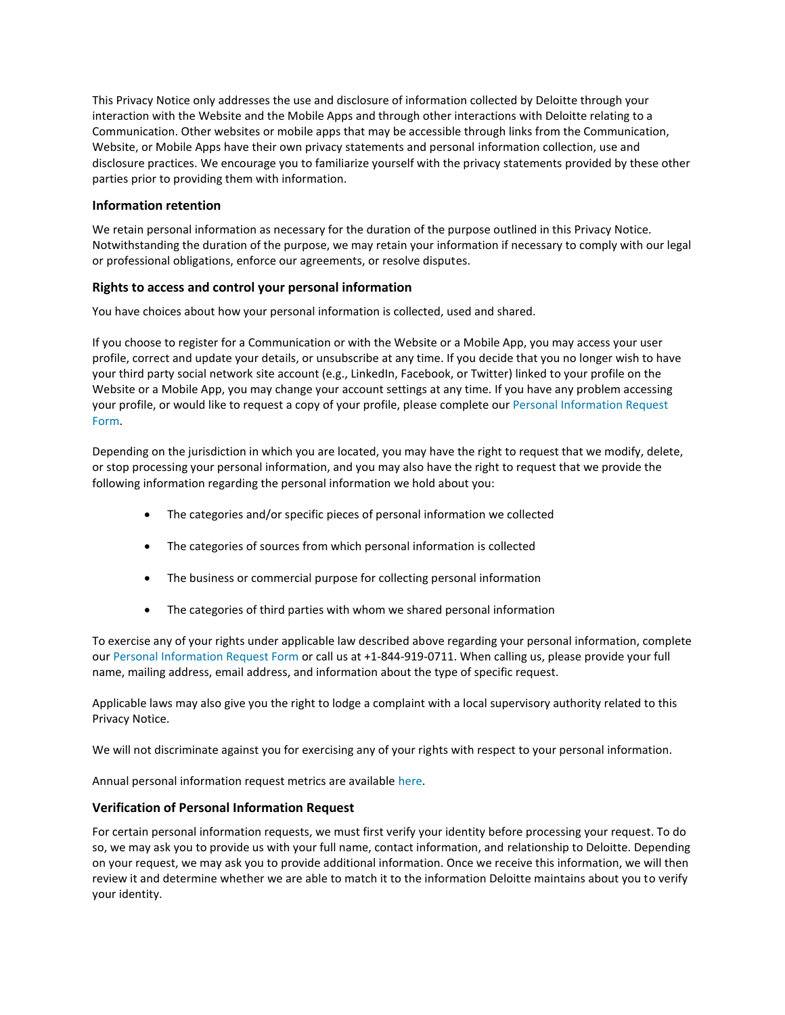This Privacy Notice only addresses the use and disclosure of information collected by Deloitte through your interaction with the Website and the Mobile Apps and through other interactions with Deloitte relating to a Communication. Other websites or mobile apps that may be accessible through links from the Communication, Website, or Mobile Apps have their own privacy statements and personal information collection, use and disclosure practices. We encourage you to familiarize yourself with the privacy statements provided by these other parties prior to providing them with information.

## **Information retention**

We retain personal information as necessary for the duration of the purpose outlined in this Privacy Notice. Notwithstanding the duration of the purpose, we may retain your information if necessary to comply with our legal or professional obligations, enforce our agreements, or resolve disputes.

# **Rights to access and control your personal information**

You have choices about how your personal information is collected, used and shared.

If you choose to register for a Communication or with the Website or a Mobile App, you may access your user profile, correct and update your details, or unsubscribe at any time. If you decide that you no longer wish to have your third party social network site account (e.g., LinkedIn, Facebook, or Twitter) linked to your profile on the Website or a Mobile App, you may change your account settings at any time. If you have any problem accessing your profile, or would like to request a copy of your profile, please complete our [Personal Information Request](https://datasubject.deloitte.com/)  [Form.](https://datasubject.deloitte.com/)

Depending on the jurisdiction in which you are located, you may have the right to request that we modify, delete, or stop processing your personal information, and you may also have the right to request that we provide the following information regarding the personal information we hold about you:

- The categories and/or specific pieces of personal information we collected
- The categories of sources from which personal information is collected
- The business or commercial purpose for collecting personal information
- The categories of third parties with whom we shared personal information

To exercise any of your rights under applicable law described above regarding your personal information, complete our [Personal Information Request Form](https://datasubject.deloitte.com/) or call us at +1-844-919-0711. When calling us, please provide your full name, mailing address, email address, and information about the type of specific request.

Applicable laws may also give you the right to lodge a complaint with a local supervisory authority related to this Privacy Notice.

We will not discriminate against you for exercising any of your rights with respect to your personal information.

Annual personal information request metrics are available [here.](https://www2.deloitte.com/content/dam/Deloitte/us/Documents/about-deloitte/us-about-consumer-personal-information-request-metrics.pdf)

## **Verification of Personal Information Request**

For certain personal information requests, we must first verify your identity before processing your request. To do so, we may ask you to provide us with your full name, contact information, and relationship to Deloitte. Depending on your request, we may ask you to provide additional information. Once we receive this information, we will then review it and determine whether we are able to match it to the information Deloitte maintains about you to verify your identity.